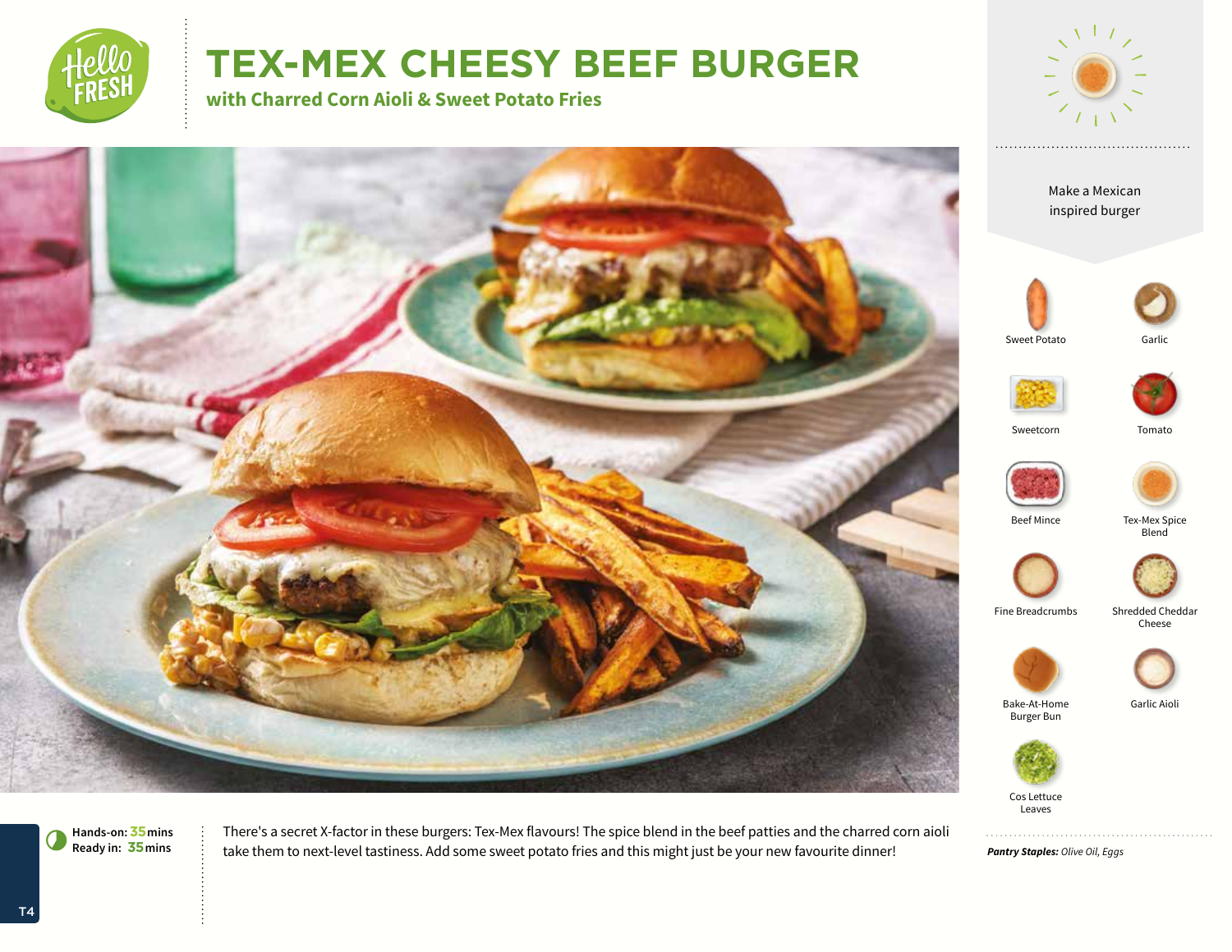

# **TEX-MEX CHEESY BEEF BURGER**

**with Charred Corn Aioli & Sweet Potato Fries**







There's a secret X-factor in these burgers: Tex-Mex flavours! The spice blend in the beef patties and the charred corn aioli take them to next-level tastiness. Add some sweet potato fries and this might just be your new favourite dinner!





Tex-Mex Spice

**Blend** 



Fine Breadcrumbs Shredded Cheddar

Cheese



Garlic Aioli

Leaves

*Pantry Staples: Olive Oil, Eggs*

**Hands-on:35mins** 7**Ready in: 35mins**